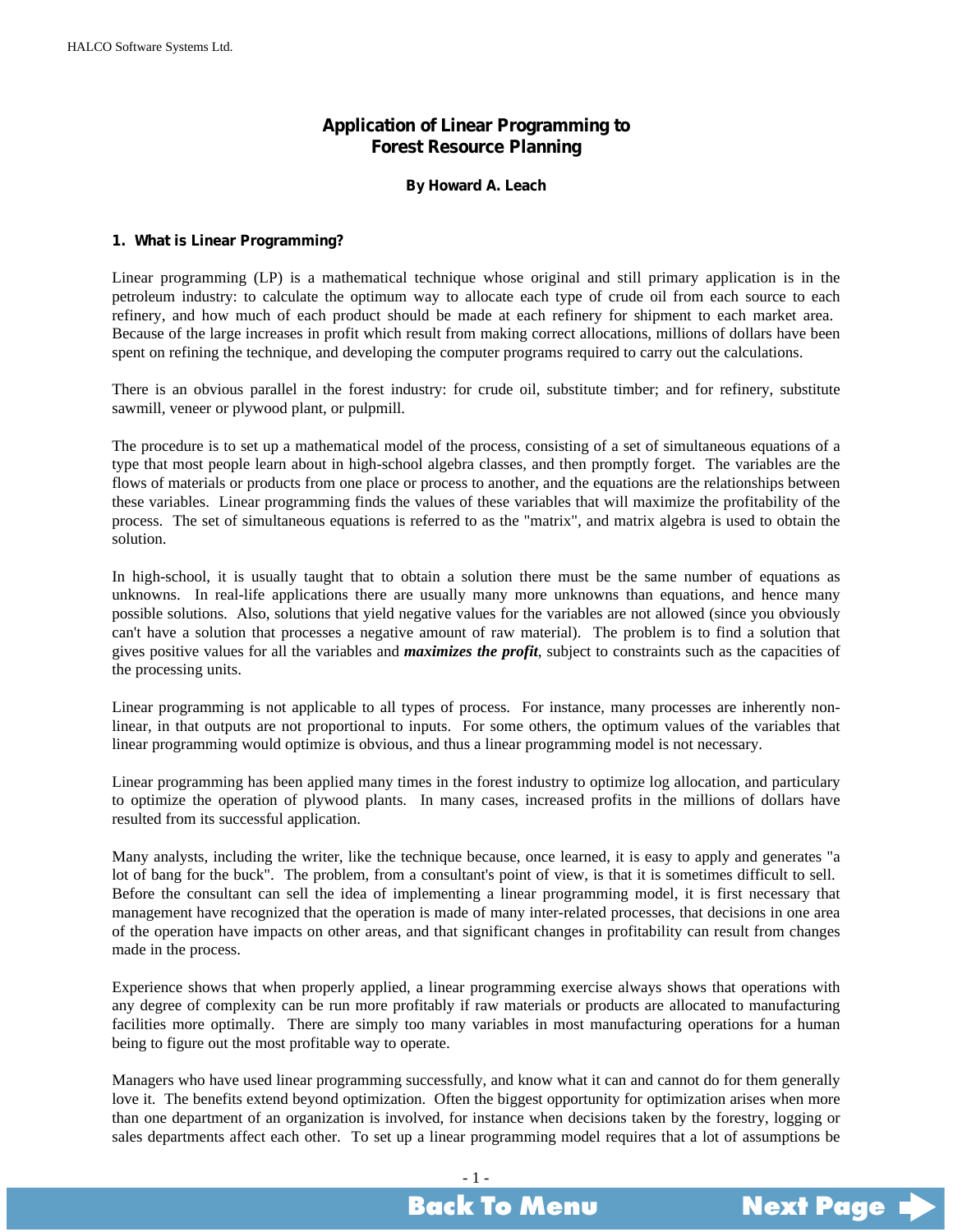# **Application of Linear Programming to Forest Resource Planning**

### **By Howard A. Leach**

## <span id="page-0-0"></span>**1. What is Linear Programming?**

Linear programming (LP) is a mathematical technique whose original and still primary application is in the petroleum industry: to calculate the optimum way to allocate each type of crude oil from each source to each refinery, and how much of each product should be made at each refinery for shipment to each market area. Because of the large increases in profit which result from making correct allocations, millions of dollars have been spent on refining the technique, and developing the computer programs required to carry out the calculations.

There is an obvious parallel in the forest industry: for crude oil, substitute timber; and for refinery, substitute sawmill, veneer or plywood plant, or pulpmill.

The procedure is to set up a mathematical model of the process, consisting of a set of simultaneous equations of a type that most people learn about in high-school algebra classes, and then promptly forget. The variables are the flows of materials or products from one place or process to another, and the equations are the relationships between these variables. Linear programming finds the values of these variables that will maximize the profitability of the process. The set of simultaneous equations is referred to as the "matrix", and matrix algebra is used to obtain the solution.

In high-school, it is usually taught that to obtain a solution there must be the same number of equations as unknowns. In real-life applications there are usually many more unknowns than equations, and hence many possible solutions. Also, solutions that yield negative values for the variables are not allowed (since you obviously can't have a solution that processes a negative amount of raw material). The problem is to find a solution that gives positive values for all the variables and *maximizes the profit*, subject to constraints such as the capacities of the processing units.

Linear programming is not applicable to all types of process. For instance, many processes are inherently nonlinear, in that outputs are not proportional to inputs. For some others, the optimum values of the variables that linear programming would optimize is obvious, and thus a linear programming model is not necessary.

Linear programming has been applied many times in the forest industry to optimize log allocation, and particulary to optimize the operation of plywood plants. In many cases, increased profits in the millions of dollars have resulted from its successful application.

Many analysts, including the writer, like the technique because, once learned, it is easy to apply and generates "a lot of bang for the buck". The problem, from a consultant's point of view, is that it is sometimes difficult to sell. Before the consultant can sell the idea of implementing a linear programming model, it is first necessary that management have recognized that the operation is made of many inter-related processes, that decisions in one area of the operation have impacts on other areas, and that significant changes in profitability can result from changes made in the process.

Experience shows that when properly applied, a linear programming exercise always shows that operations with any degree of complexity can be run more profitably if raw materials or products are allocated to manufacturing facilities more optimally. There are simply too many variables in most manufacturing operations for a human being to figure out the most profitable way to operate.

Managers who have used linear programming successfully, and know what it can and cannot do for them generally love it. The benefits extend beyond optimization. Often the biggest opportunity for optimization arises when more than one department of an organization is involved, for instance when decisions taken by the forestry, logging or sales departments affect each other. To set up a linear programming model requires that a lot of assumptions be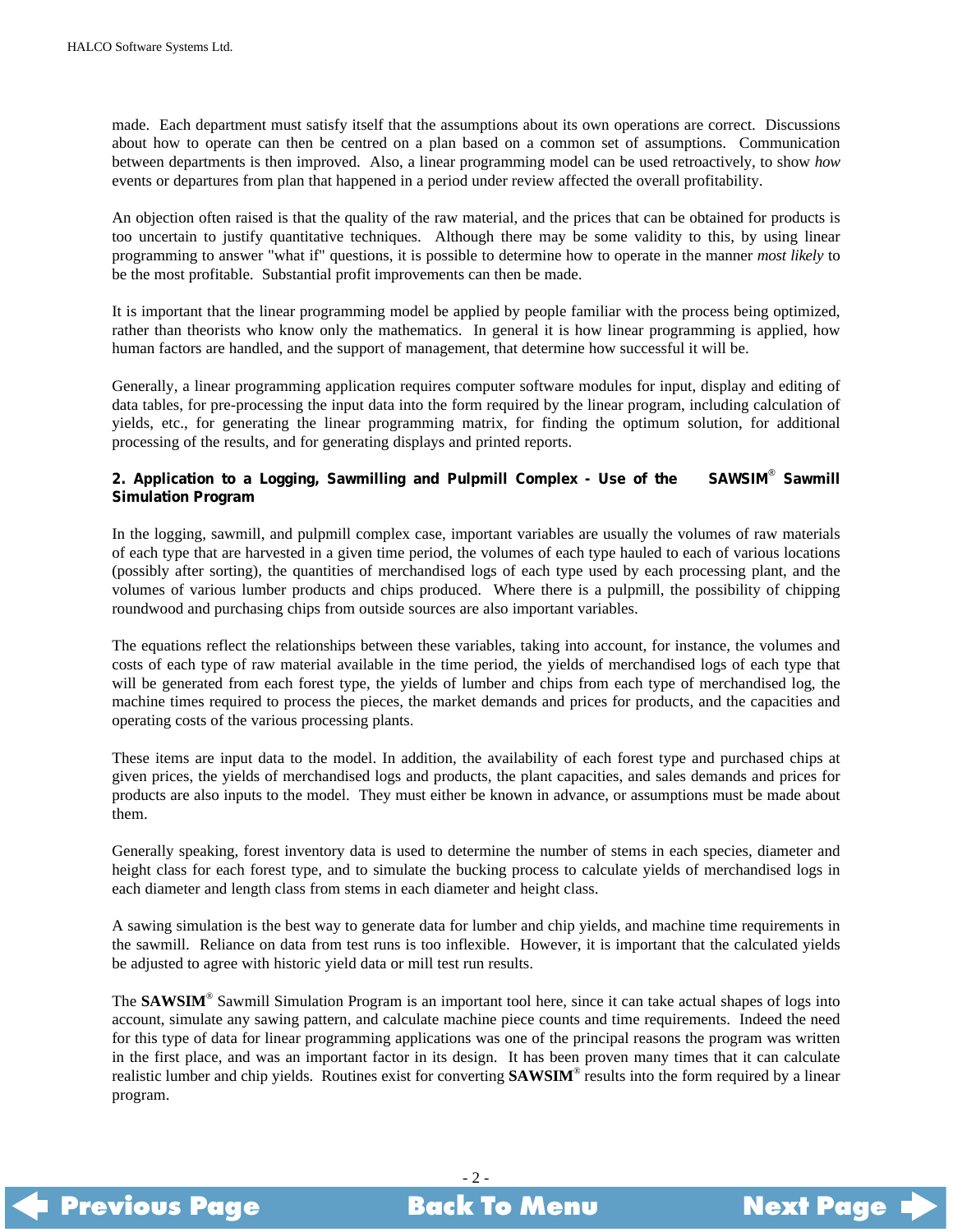<span id="page-1-0"></span>made. Each department must satisfy itself that the assumptions about its own operations are correct. Discussions about how to operate can then be centred on a plan based on a common set of assumptions. Communication between departments is then improved. Also, a linear programming model can be used retroactively, to show *how* events or departures from plan that happened in a period under review affected the overall profitability.

An objection often raised is that the quality of the raw material, and the prices that can be obtained for products is too uncertain to justify quantitative techniques. Although there may be some validity to this, by using linear programming to answer "what if" questions, it is possible to determine how to operate in the manner *most likely* to be the most profitable. Substantial profit improvements can then be made.

It is important that the linear programming model be applied by people familiar with the process being optimized, rather than theorists who know only the mathematics. In general it is how linear programming is applied, how human factors are handled, and the support of management, that determine how successful it will be.

Generally, a linear programming application requires computer software modules for input, display and editing of data tables, for pre-processing the input data into the form required by the linear program, including calculation of yields, etc., for generating the linear programming matrix, for finding the optimum solution, for additional processing of the results, and for generating displays and printed reports.

#### 2. Application to a Logging, Sawmilling and Pulpmill Complex - Use of the **Sawmill Simulation Program**

In the logging, sawmill, and pulpmill complex case, important variables are usually the volumes of raw materials of each type that are harvested in a given time period, the volumes of each type hauled to each of various locations (possibly after sorting), the quantities of merchandised logs of each type used by each processing plant, and the volumes of various lumber products and chips produced. Where there is a pulpmill, the possibility of chipping roundwood and purchasing chips from outside sources are also important variables.

The equations reflect the relationships between these variables, taking into account, for instance, the volumes and costs of each type of raw material available in the time period, the yields of merchandised logs of each type that will be generated from each forest type, the yields of lumber and chips from each type of merchandised log, the machine times required to process the pieces, the market demands and prices for products, and the capacities and operating costs of the various processing plants.

These items are input data to the model. In addition, the availability of each forest type and purchased chips at given prices, the yields of merchandised logs and products, the plant capacities, and sales demands and prices for products are also inputs to the model. They must either be known in advance, or assumptions must be made about them.

Generally speaking, forest inventory data is used to determine the number of stems in each species, diameter and height class for each forest type, and to simulate the bucking process to calculate yields of merchandised logs in each diameter and length class from stems in each diameter and height class.

A sawing simulation is the best way to generate data for lumber and chip yields, and machine time requirements in the sawmill. Reliance on data from test runs is too inflexible. However, it is important that the calculated yields be adjusted to agree with historic yield data or mill test run results.

The **SAWSIM**® Sawmill Simulation Program is an important tool here, since it can take actual shapes of logs into account, simulate any sawing pattern, and calculate machine piece counts and time requirements. Indeed the need for this type of data for linear programming applications was one of the principal reasons the program was written in the first place, and was an important factor in its design. It has been proven many times that it can calculate realistic lumber and chip yields. Routines exist for converting **SAWSIM**® results into the form required by a linear program.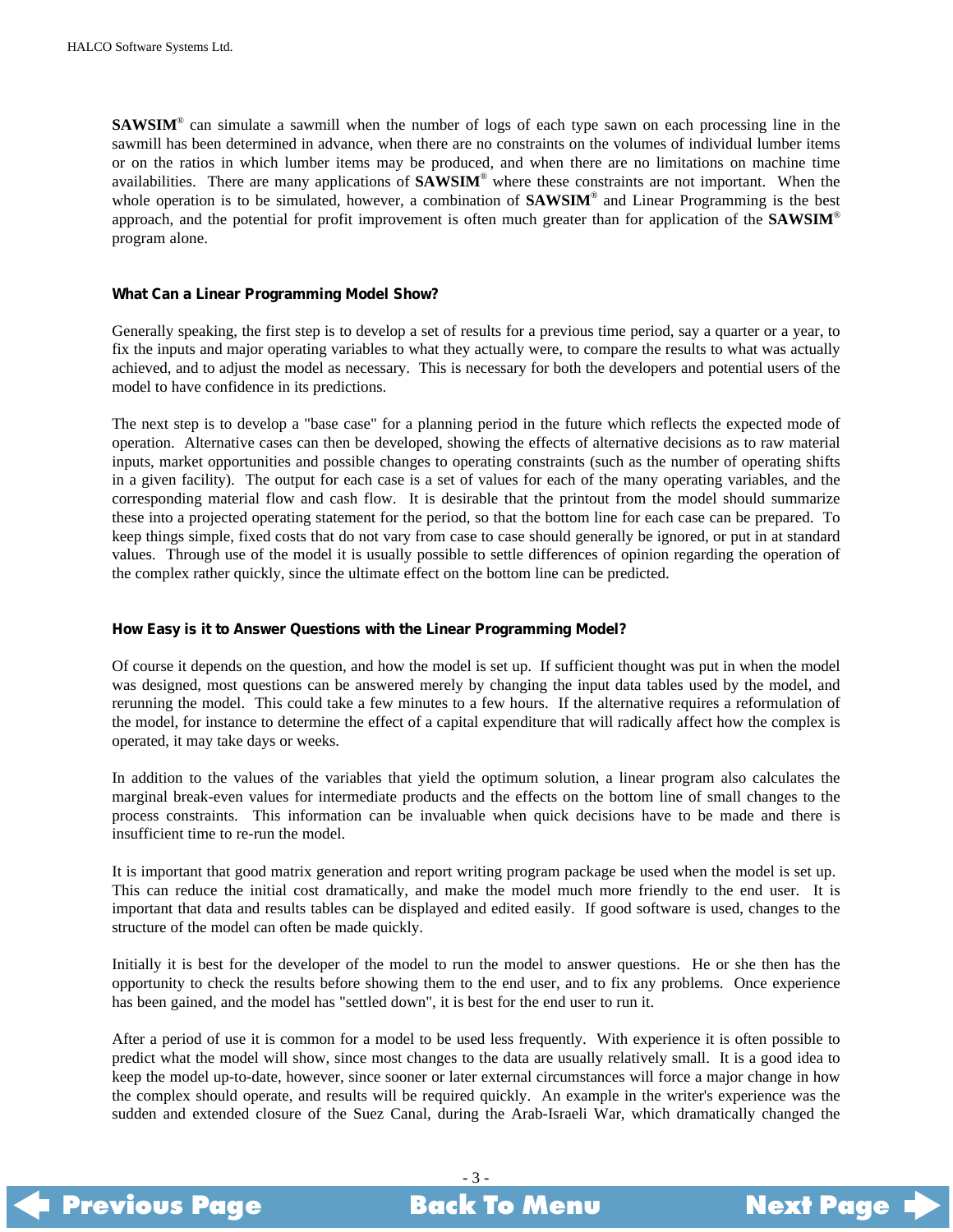<span id="page-2-0"></span>**SAWSIM**® can simulate a sawmill when the number of logs of each type sawn on each processing line in the sawmill has been determined in advance, when there are no constraints on the volumes of individual lumber items or on the ratios in which lumber items may be produced, and when there are no limitations on machine time availabilities. There are many applications of **SAWSIM**® where these constraints are not important. When the whole operation is to be simulated, however, a combination of **SAWSIM**® and Linear Programming is the best approach, and the potential for profit improvement is often much greater than for application of the **SAWSIM**® program alone.

### **What Can a Linear Programming Model Show?**

Generally speaking, the first step is to develop a set of results for a previous time period, say a quarter or a year, to fix the inputs and major operating variables to what they actually were, to compare the results to what was actually achieved, and to adjust the model as necessary. This is necessary for both the developers and potential users of the model to have confidence in its predictions.

The next step is to develop a "base case" for a planning period in the future which reflects the expected mode of operation. Alternative cases can then be developed, showing the effects of alternative decisions as to raw material inputs, market opportunities and possible changes to operating constraints (such as the number of operating shifts in a given facility). The output for each case is a set of values for each of the many operating variables, and the corresponding material flow and cash flow. It is desirable that the printout from the model should summarize these into a projected operating statement for the period, so that the bottom line for each case can be prepared. To keep things simple, fixed costs that do not vary from case to case should generally be ignored, or put in at standard values. Through use of the model it is usually possible to settle differences of opinion regarding the operation of the complex rather quickly, since the ultimate effect on the bottom line can be predicted.

# **How Easy is it to Answer Questions with the Linear Programming Model?**

Of course it depends on the question, and how the model is set up. If sufficient thought was put in when the model was designed, most questions can be answered merely by changing the input data tables used by the model, and rerunning the model. This could take a few minutes to a few hours. If the alternative requires a reformulation of the model, for instance to determine the effect of a capital expenditure that will radically affect how the complex is operated, it may take days or weeks.

In addition to the values of the variables that yield the optimum solution, a linear program also calculates the marginal break-even values for intermediate products and the effects on the bottom line of small changes to the process constraints. This information can be invaluable when quick decisions have to be made and there is insufficient time to re-run the model.

It is important that good matrix generation and report writing program package be used when the model is set up. This can reduce the initial cost dramatically, and make the model much more friendly to the end user. It is important that data and results tables can be displayed and edited easily. If good software is used, changes to the structure of the model can often be made quickly.

Initially it is best for the developer of the model to run the model to answer questions. He or she then has the opportunity to check the results before showing them to the end user, and to fix any problems. Once experience has been gained, and the model has "settled down", it is best for the end user to run it.

After a period of use it is common for a model to be used less frequently. With experience it is often possible to predict what the model will show, since most changes to the data are usually relatively small. It is a good idea to keep the model up-to-date, however, since sooner or later external circumstances will force a major change in how the complex should operate, and results will be required quickly. An example in the writer's experience was the sudden and extended closure of the Suez Canal, during the Arab-Israeli War, which dramatically changed the